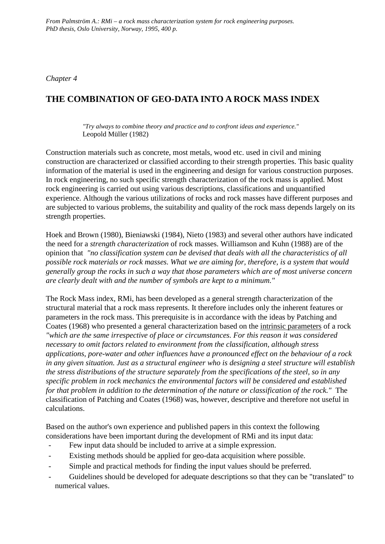*Chapter 4*

# **THE COMBINATION OF GEO-DATA INTO A ROCK MASS INDEX**

*"Try always to combine theory and practice and to confront ideas and experience."* Leopold Müller (1982)

Construction materials such as concrete, most metals, wood etc. used in civil and mining construction are characterized or classified according to their strength properties. This basic quality information of the material is used in the engineering and design for various construction purposes. In rock engineering, no such specific strength characterization of the rock mass is applied. Most rock engineering is carried out using various descriptions, classifications and unquantified experience. Although the various utilizations of rocks and rock masses have different purposes and are subjected to various problems, the suitability and quality of the rock mass depends largely on its strength properties.

Hoek and Brown (1980), Bieniawski (1984), Nieto (1983) and several other authors have indicated the need for a *strength characterization* of rock masses. Williamson and Kuhn (1988) are of the opinion that *"no classification system can be devised that deals with all the characteristics of all possible rock materials or rock masses. What we are aiming for, therefore, is a system that would generally group the rocks in such a way that those parameters which are of most universe concern are clearly dealt with and the number of symbols are kept to a minimum."*

The Rock Mass index, RMi, has been developed as a general strength characterization of the structural material that a rock mass represents. It therefore includes only the inherent features or parameters in the rock mass. This prerequisite is in accordance with the ideas by Patching and Coates (1968) who presented a general characterization based on the intrinsic parameters of a rock *"which are the same irrespective of place or circumstances. For this reason it was considered necessary to omit factors related to environment from the classification, although stress applications, pore-water and other influences have a pronounced effect on the behaviour of a rock in any given situation. Just as a structural engineer who is designing a steel structure will establish the stress distributions of the structure separately from the specifications of the steel, so in any specific problem in rock mechanics the environmental factors will be considered and established for that problem in addition to the determination of the nature or classification of the rock."* The classification of Patching and Coates (1968) was, however, descriptive and therefore not useful in calculations.

Based on the author's own experience and published papers in this context the following considerations have been important during the development of RMi and its input data:

- Few input data should be included to arrive at a simple expression.
- Existing methods should be applied for geo-data acquisition where possible.
- Simple and practical methods for finding the input values should be preferred.
- Guidelines should be developed for adequate descriptions so that they can be "translated" to numerical values.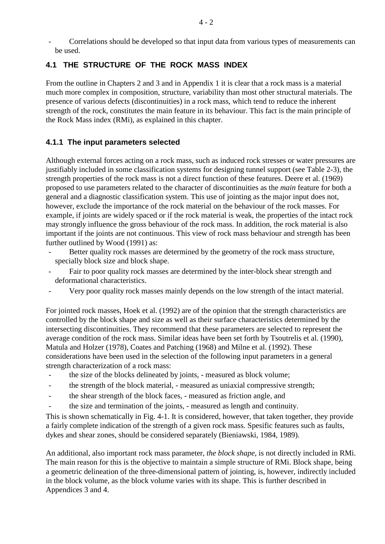- Correlations should be developed so that input data from various types of measurements can be used.

# **4.1 THE STRUCTURE OF THE ROCK MASS INDEX**

From the outline in Chapters 2 and 3 and in Appendix 1 it is clear that a rock mass is a material much more complex in composition, structure, variability than most other structural materials. The presence of various defects (discontinuities) in a rock mass, which tend to reduce the inherent strength of the rock, constitutes the main feature in its behaviour. This fact is the main principle of the Rock Mass index (RMi), as explained in this chapter.

### **4.1.1 The input parameters selected**

Although external forces acting on a rock mass, such as induced rock stresses or water pressures are justifiably included in some classification systems for designing tunnel support (see Table 2-3), the strength properties of the rock mass is not a direct function of these features. Deere et al. (1969) proposed to use parameters related to the character of discontinuities as the *main* feature for both a general and a diagnostic classification system. This use of jointing as the major input does not, however, exclude the importance of the rock material on the behaviour of the rock masses. For example, if joints are widely spaced or if the rock material is weak, the properties of the intact rock may strongly influence the gross behaviour of the rock mass. In addition, the rock material is also important if the joints are not continuous. This view of rock mass behaviour and strength has been further outlined by Wood (1991) as:

- Better quality rock masses are determined by the geometry of the rock mass structure, specially block size and block shape.
- Fair to poor quality rock masses are determined by the inter-block shear strength and deformational characteristics.
- Very poor quality rock masses mainly depends on the low strength of the intact material.

For jointed rock masses, Hoek et al. (1992) are of the opinion that the strength characteristics are controlled by the block shape and size as well as their surface characteristics determined by the intersecting discontinuities. They recommend that these parameters are selected to represent the average condition of the rock mass. Similar ideas have been set forth by Tsoutrelis et al. (1990), Matula and Holzer (1978), Coates and Patching (1968) and Milne et al. (1992). These considerations have been used in the selection of the following input parameters in a general strength characterization of a rock mass:

- the size of the blocks delineated by joints, measured as block volume;
- the strength of the block material, measured as uniaxial compressive strength;
- the shear strength of the block faces, measured as friction angle, and
- the size and termination of the joints, measured as length and continuity.

This is shown schematically in Fig. 4-1. It is considered, however, that taken together, they provide a fairly complete indication of the strength of a given rock mass. Spesific features such as faults, dykes and shear zones, should be considered separately (Bieniawski, 1984, 1989).

An additional, also important rock mass parameter, *the block shape*, is not directly included in RMi. The main reason for this is the objective to maintain a simple structure of RMi. Block shape, being a geometric delineation of the three-dimensional pattern of jointing, is, however, indirectly included in the block volume, as the block volume varies with its shape. This is further described in Appendices 3 and 4.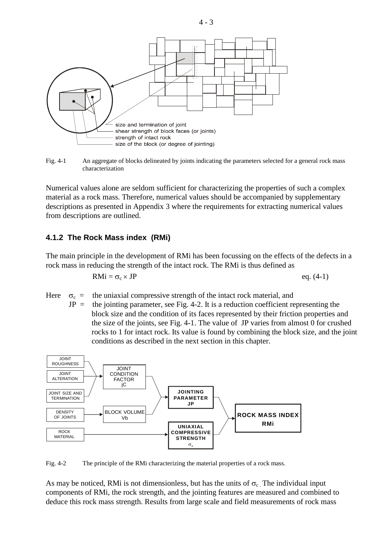

Fig. 4-1 An aggregate of blocks delineated by joints indicating the parameters selected for a general rock mass characterization

Numerical values alone are seldom sufficient for characterizing the properties of such a complex material as a rock mass. Therefore, numerical values should be accompanied by supplementary descriptions as presented in Appendix 3 where the requirements for extracting numerical values from descriptions are outlined.

#### **4.1.2 The Rock Mass index (RMi)**

The main principle in the development of RMi has been focussing on the effects of the defects in a rock mass in reducing the strength of the intact rock. The RMi is thus defined as

$$
RMi = \sigma_c \times JP
$$
 eq. (4-1)

Here  $\sigma_c$  = the uniaxial compressive strength of the intact rock material, and

 $JP =$  the jointing parameter, see Fig. 4-2. It is a reduction coefficient representing the block size and the condition of its faces represented by their friction properties and the size of the joints, see Fig. 4-1. The value of JP varies from almost 0 for crushed rocks to 1 for intact rock. Its value is found by combining the block size, and the joint conditions as described in the next section in this chapter.



Fig. 4-2 The principle of the RMi characterizing the material properties of a rock mass.

As may be noticed, RMi is not dimensionless, but has the units of  $\sigma_c$ . The individual input components of RMi, the rock strength, and the jointing features are measured and combined to deduce this rock mass strength. Results from large scale and field measurements of rock mass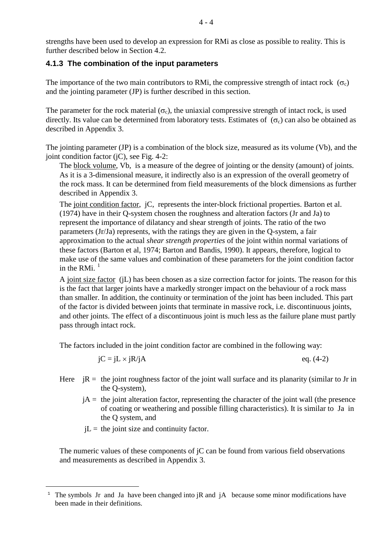strengths have been used to develop an expression for RMi as close as possible to reality. This is further described below in Section 4.2.

### **4.1.3 The combination of the input parameters**

The importance of the two main contributors to RMi, the compressive strength of intact rock  $(\sigma_c)$ and the jointing parameter (JP) is further described in this section.

The parameter for the rock material  $(\sigma_c)$ , the uniaxial compressive strength of intact rock, is used directly. Its value can be determined from laboratory tests. Estimates of  $(\sigma_c)$  can also be obtained as described in Appendix 3.

The jointing parameter (JP) is a combination of the block size, measured as its volume (Vb), and the joint condition factor (jC), see Fig. 4-2:

The block volume, Vb, is a measure of the degree of jointing or the density (amount) of joints. As it is a 3-dimensional measure, it indirectly also is an expression of the overall geometry of the rock mass. It can be determined from field measurements of the block dimensions as further described in Appendix 3.

The joint condition factor, jC, represents the inter-block frictional properties. Barton et al. (1974) have in their Q-system chosen the roughness and alteration factors (Jr and Ja) to represent the importance of dilatancy and shear strength of joints. The ratio of the two parameters (Jr/Ja) represents, with the ratings they are given in the Q-system, a fair approximation to the actual *shear strength properties* of the joint within normal variations of these factors (Barton et al, 1974; Barton and Bandis, 1990). It appears, therefore, logical to make use of the same values and combination of these parameters for the joint condition factor in the RMi $^{-1}$  $^{-1}$  $^{-1}$ 

A joint size factor (jL) has been chosen as a size correction factor for joints. The reason for this is the fact that larger joints have a markedly stronger impact on the behaviour of a rock mass than smaller. In addition, the continuity or termination of the joint has been included. This part of the factor is divided between joints that terminate in massive rock, i.e. discontinuous joints, and other joints. The effect of a discontinuous joint is much less as the failure plane must partly pass through intact rock.

The factors included in the joint condition factor are combined in the following way:

$$
jC = jL \times jR/jA \qquad \qquad eq. (4-2)
$$

- Here  $iR =$  the joint roughness factor of the joint wall surface and its planarity (similar to Jr in the Q-system),
	- $jA =$  the joint alteration factor, representing the character of the joint wall (the presence of coating or weathering and possible filling characteristics). It is similar to Ja in the Q system, and
	- $jL =$  the joint size and continuity factor.

The numeric values of these components of jC can be found from various field observations and measurements as described in Appendix 3.

<span id="page-3-0"></span><sup>—</sup> <sup>1</sup> The symbols Jr and Ja have been changed into jR and jA because some minor modifications have been made in their definitions.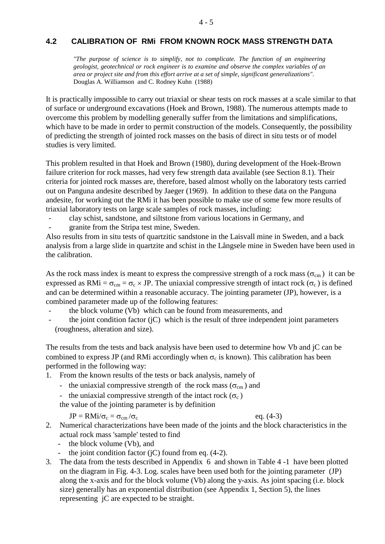#### **4.2 CALIBRATION OF RMi FROM KNOWN ROCK MASS STRENGTH DATA**

*"The purpose of science is to simplify, not to complicate. The function of an engineering geologist, geotechnical or rock engineer is to examine and observe the complex variables of an area or project site and from this effort arrive at a set of simple, significant generalizations".* Douglas A. Williamson and C. Rodney Kuhn (1988)

It is practically impossible to carry out triaxial or shear tests on rock masses at a scale similar to that of surface or underground excavations (Hoek and Brown, 1988). The numerous attempts made to overcome this problem by modelling generally suffer from the limitations and simplifications, which have to be made in order to permit construction of the models. Consequently, the possibility of predicting the strength of jointed rock masses on the basis of direct in situ tests or of model studies is very limited.

This problem resulted in that Hoek and Brown (1980), during development of the Hoek-Brown failure criterion for rock masses, had very few strength data available (see Section 8.1). Their criteria for jointed rock masses are, therefore, based almost wholly on the laboratory tests carried out on Panguna andesite described by Jaeger (1969). In addition to these data on the Panguna andesite, for working out the RMi it has been possible to make use of some few more results of triaxial laboratory tests on large scale samples of rock masses, including:

- clay schist, sandstone, and siltstone from various locations in Germany, and
- granite from the Stripa test mine, Sweden.

Also results from in situ tests of quartzitic sandstone in the Laisvall mine in Sweden, and a back analysis from a large slide in quartzite and schist in the Långsele mine in Sweden have been used in the calibration.

As the rock mass index is meant to express the compressive strength of a rock mass ( $\sigma_{cm}$ ) it can be expressed as RMi =  $\sigma_{cm} = \sigma_c \times JP$ . The uniaxial compressive strength of intact rock ( $\sigma_c$ ) is defined and can be determined within a reasonable accuracy. The jointing parameter (JP), however, is a combined parameter made up of the following features:

- the block volume (Vb) which can be found from measurements, and
- the joint condition factor  $(i)$  which is the result of three independent joint parameters (roughness, alteration and size).

The results from the tests and back analysis have been used to determine how Vb and jC can be combined to express JP (and RMi accordingly when  $\sigma_c$  is known). This calibration has been performed in the following way:

- 1. From the known results of the tests or back analysis, namely of
	- the uniaxial compressive strength of the rock mass ( $\sigma_{cm}$ ) and
	- the uniaxial compressive strength of the intact rock ( $\sigma_c$ )

the value of the jointing parameter is by definition

$$
JP = RMi/\sigma_c = \sigma_{cm}/\sigma_c \qquad \qquad \text{eq. (4-3)}
$$

- 2. Numerical characterizations have been made of the joints and the block characteristics in the actual rock mass 'sample' tested to find
	- the block volume (Vb), and
	- the joint condition factor (jC) found from eq.  $(4-2)$ .
- 3. The data from the tests described in Appendix 6 and shown in Table 4 -1 have been plotted on the diagram in Fig. 4-3. Log. scales have been used both for the jointing parameter (JP) along the x-axis and for the block volume (Vb) along the y-axis. As joint spacing (i.e. block size) generally has an exponential distribution (see Appendix 1, Section 5), the lines representing jC are expected to be straight.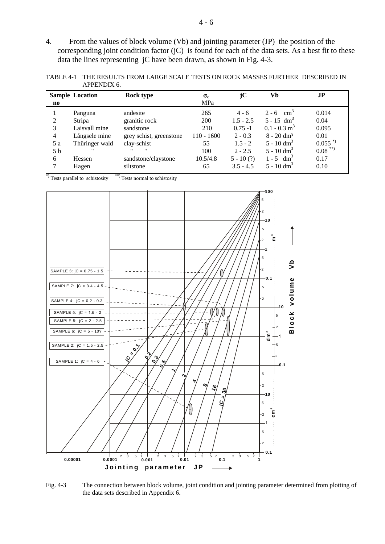4. From the values of block volume (Vb) and jointing parameter (JP) the position of the corresponding joint condition factor (jC) is found for each of the data sets. As a best fit to these data the lines representing jC have been drawn, as shown in Fig. 4-3.

TABLE 4-1 THE RESULTS FROM LARGE SCALE TESTS ON ROCK MASSES FURTHER DESCRIBED IN APPENDIX 6.

|                        | <b>Sample Location</b> | Rock type                              | $\sigma_{c}$ | jC          | Vb                         | J <sub>P</sub>        |
|------------------------|------------------------|----------------------------------------|--------------|-------------|----------------------------|-----------------------|
| $\mathbf{n}\mathbf{o}$ |                        |                                        | MPa          |             |                            |                       |
|                        | Panguna                | andesite                               | 265          | $4 - 6$     | $2 - 6$ cm <sup>3</sup>    | 0.014                 |
| 2                      | <b>Stripa</b>          | granitic rock                          | 200          | $1.5 - 2.5$ | $5 - 15$ dm <sup>3</sup>   | 0.04                  |
| 3                      | Laisvall mine          | sandstone                              | 210          | $0.75 - 1$  | $0.1 - 0.3$ m <sup>3</sup> | 0.095                 |
| 4                      | Långsele mine          | grey schist, greenstone                | $110 - 1600$ | $2 - 0.3$   | $8 - 20$ dm <sup>3</sup>   | 0.01                  |
| 5 a                    | Thüringer wald         | clay-schist                            | 55           | $1.5 - 2$   | $5 - 10$ dm <sup>3</sup>   | $0.055$ <sup>*)</sup> |
| 5 b                    | $^{\prime\prime}$      | $^{\prime\prime}$<br>$^{\prime\prime}$ | 100          | $2 - 2.5$   | $5 - 10$ dm <sup>3</sup>   | $0.08$ **)            |
| 6                      | Hessen                 | sandstone/claystone                    | 10.5/4.8     | $5 - 10(?)$ | $1 - 5 dm3$                | 0.17                  |
|                        | Hagen                  | siltstone                              | 65           | $3.5 - 4.5$ | $5 - 10$ dm <sup>3</sup>   | 0.10                  |

 $*$ ) Tests parallel to schistosity  $*$  Tests normal to schistosity



Fig. 4-3 The connection between block volume, joint condition and jointing parameter determined from plotting of the data sets described in Appendix 6.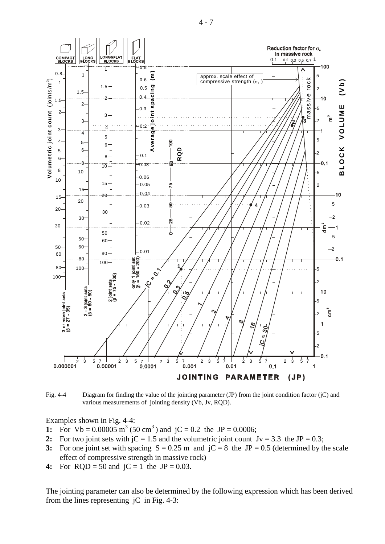T Reduction factor for  $\sigma_c$ in massive rock LONG<br>BLOCKS COMPACT **ONG&FL/**<br>BLOCKS **REI AT** FLAT<br>BLOCKS 0.1 0.2 0.3 0.5 0.7 1 100 0.8  $\Lambda$ 1 **Average joint spacing (m)**  $\begin{bmatrix} 0.8 \\ -1 \end{bmatrix}$  approx. scale effect of compressive strength ( $\sigma_c$ ) 1 5 0.6 rock assive rock **olumetric joint count** (joints/m ) **b )**  $1$ ო 1.5  $-0.5$ ng  $\overline{2}$  **(V** 1.5 spaci massive  $\Omega$ n 2 1.5  $\mathfrak{D}$ 0.3 5 **E**2 ioint **M** 3 ໊∈ 3  $\frac{2}{3}$   $\sqrt{3}$ 2 **U**  $-0.2$ **L** 4 3 Average **O** 4 5 **V** 5 4  $\overline{0}$ 5 6 6 **K** 5 **D** 2  $-0.1$ **Q**  $\mathbf c$ 8 6 **R O** S 8 0.08  $10$ **L** 8 10 5 **B**0.06 **V**10 15 0.05 75 2 15  $-0.04$ 10 20 15 20 8 5  $-0.03$ **4** 20 30 30 2 25  $0.02$ 30 Ε t 50 5 50 60 60 50 2  $-0.01$  $60 - 480$ 80  $0.1$  $\frac{9 \text{ n}}{6} = 150 - 200$ 100 VC 30-1 **1** 80 100 5  $2$  joint sets<br>( $\beta = 75 - 100$ ) 100  $\sqrt{2}$  $\overline{2}$  $\overset{\sim}{\rightarrow}$ 3 joint sets<br>: 50 - 60) C  $3$  or more joint sets<br>( $\beta$  = 27 - 35) ົ 5 ე - ვე<br>(მ = ა Έ 2  $\mathcal{S}^{\mathcal{C}}$ 5  $\boldsymbol{u}$  $\overline{O}$ 2  $0.1$ 2 3 5 7 2 3 5 7 2 3 5 7 2 3 5 7 2 3 5 7 2 3 5 7  $\overline{1}$ **JOINTING PARAMETER**  $(JP)$ 

Fig. 4-4 Diagram for finding the value of the jointing parameter (JP) from the joint condition factor (jC) and various measurements of jointing density (Vb, Jv, RQD).

Examples shown in Fig. 4-4:

- **1:** For  $Vb = 0.00005$  m<sup>3</sup> (50 cm<sup>3</sup>) and jC = 0.2 the JP = 0.0006;
- 2: For two joint sets with  $jC = 1.5$  and the volumetric joint count  $Jv = 3.3$  the  $JP = 0.3$ ;
- **3:** For one joint set with spacing  $S = 0.25$  m and  $jC = 8$  the JP = 0.5 (determined by the scale effect of compressive strength in massive rock)
- **4:** For  $RQD = 50$  and  $jC = 1$  the  $JP = 0.03$ .

The jointing parameter can also be determined by the following expression which has been derived from the lines representing jC in Fig. 4-3:

 $4 - 7$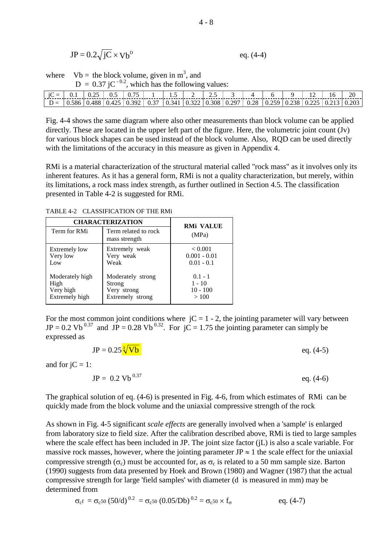$$
JP = 0.2\sqrt{jC} \times Vb^{D}
$$
 eq. (4-4)

where  $Vb =$  the block volume, given in m<sup>3</sup>, and  $D = 0.37$  jC<sup>-0.2</sup>, which has the following values:

|  |  | $\mid$ D = $\mid$ 0.586 $\mid$ 0.488 $\mid$ 0.425 $\mid$ 0.392 $\mid$ 0.37 $\mid$ 0.341 $\mid$ 0.322 $\mid$ 0.308 $\mid$ 0.297 $\mid$ 0.25 $\mid$ 0.258 $\mid$ 0.225 $\mid$ 0.213 $\mid$ 0.203 |  |  |  |  |  |  |
|--|--|------------------------------------------------------------------------------------------------------------------------------------------------------------------------------------------------|--|--|--|--|--|--|

Fig. 4-4 shows the same diagram where also other measurements than block volume can be applied directly. These are located in the upper left part of the figure. Here, the volumetric joint count (Jv) for various block shapes can be used instead of the block volume. Also, RQD can be used directly with the limitations of the accuracy in this measure as given in Appendix 4.

RMi is a material characterization of the structural material called "rock mass" as it involves only its inherent features. As it has a general form, RMi is not a quality characterization, but merely, within its limitations, a rock mass index strength, as further outlined in Section 4.5. The classification presented in Table 4-2 is suggested for RMi.

|                      | <b>CHARACTERIZATION</b>               |                           |  |  |
|----------------------|---------------------------------------|---------------------------|--|--|
| Term for RMi         | Term related to rock<br>mass strength | <b>RMi VALUE</b><br>(MPa) |  |  |
| <b>Extremely low</b> | Extremely weak                        | < 0.001                   |  |  |
| Very low             | Very weak                             | $0.001 - 0.01$            |  |  |
| Low                  | Weak                                  | $0.01 - 0.1$              |  |  |
| Moderately high      | Moderately strong                     | $0.1 - 1$                 |  |  |
| High                 | Strong                                | $1 - 10$                  |  |  |
| Very high            | Very strong                           | $10 - 100$                |  |  |
| Extremely high       | Extremely strong                      | >100                      |  |  |

TABLE 4-2 CLASSIFICATION OF THE RMi

For the most common joint conditions where  $jC = 1 - 2$ , the jointing parameter will vary between  $JP = 0.2 \text{ Vb}^{0.37}$  and  $JP = 0.28 \text{ Vb}^{0.32}$ . For  $jC = 1.75$  the jointing parameter can simply be expressed as

$$
JP = 0.25 \frac{\sqrt[3]{Vb}}{}
$$
eq. (4-5)

and for  $iC = 1$ :

 $JP = 0.2 Vb^{0.37}$  eq. (4-6)

The graphical solution of eq. (4-6) is presented in Fig. 4-6, from which estimates of RMi can be quickly made from the block volume and the uniaxial compressive strength of the rock

As shown in Fig. 4-5 significant *scale effects* are generally involved when a 'sample' is enlarged from laboratory size to field size. After the calibration described above, RMi is tied to large samples where the scale effect has been included in JP. The joint size factor (jL) is also a scale variable. For massive rock masses, however, where the jointing parameter JP  $\approx$  1 the scale effect for the uniaxial compressive strength ( $\sigma_c$ ) must be accounted for, as  $\sigma_c$  is related to a 50 mm sample size. Barton (1990) suggests from data presented by Hoek and Brown (1980) and Wagner (1987) that the actual compressive strength for large 'field samples' with diameter (d is measured in mm) may be determined from

$$
\sigma_{\rm c}f = \sigma_{\rm c}f(50/\rm d)^{0.2} = \sigma_{\rm c}f(0.05/\rm Db)^{0.2} = \sigma_{\rm c}f(50 \times f_{\rm \sigma}) \qquad \text{eq. (4-7)}
$$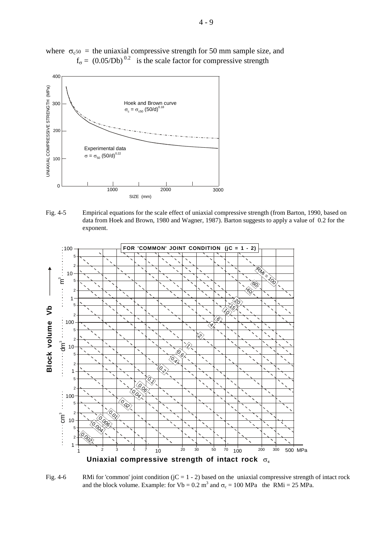

where  $\sigma_{c50}$  = the uniaxial compressive strength for 50 mm sample size, and  $f_{\sigma} = (0.05/Db)^{0.2}$  is the scale factor for compressive strength

Fig. 4-5 Empirical equations for the scale effect of uniaxial compressive strength (from Barton, 1990, based on data from Hoek and Brown, 1980 and Wagner, 1987). Barton suggests to apply a value of 0.2 for the exponent.



Fig. 4-6 RMi for 'common' joint condition  $(jC = 1 - 2)$  based on the uniaxial compressive strength of intact rock and the block volume. Example: for Vb =  $0.2$  m<sup>3</sup> and  $\sigma_c = 100$  MPa the RMi = 25 MPa.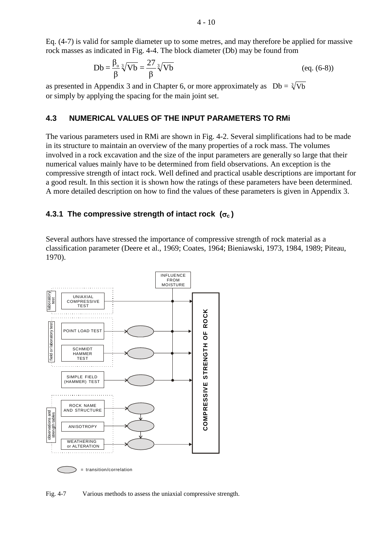Eq. (4-7) is valid for sample diameter up to some metres, and may therefore be applied for massive rock masses as indicated in Fig. 4-4. The block diameter (Db) may be found from

$$
Db = \frac{\beta_o}{\beta} \sqrt[3]{Vb} = \frac{27}{\beta} \sqrt[3]{Vb}
$$
 (eq. (6-8))

as presented in Appendix 3 and in Chapter 6, or more approximately as  $Db = \sqrt[3]{Vb}$ or simply by applying the spacing for the main joint set.

#### **4.3 NUMERICAL VALUES OF THE INPUT PARAMETERS TO RMi**

The various parameters used in RMi are shown in Fig. 4-2. Several simplifications had to be made in its structure to maintain an overview of the many properties of a rock mass. The volumes involved in a rock excavation and the size of the input parameters are generally so large that their numerical values mainly have to be determined from field observations. An exception is the compressive strength of intact rock. Well defined and practical usable descriptions are important for a good result. In this section it is shown how the ratings of these parameters have been determined. A more detailed description on how to find the values of these parameters is given in Appendix 3.

#### **4.3.1 The compressive strength of intact rock (**σ**c )**

Several authors have stressed the importance of compressive strength of rock material as a classification parameter (Deere et al., 1969; Coates, 1964; Bieniawski, 1973, 1984, 1989; Piteau, 1970).



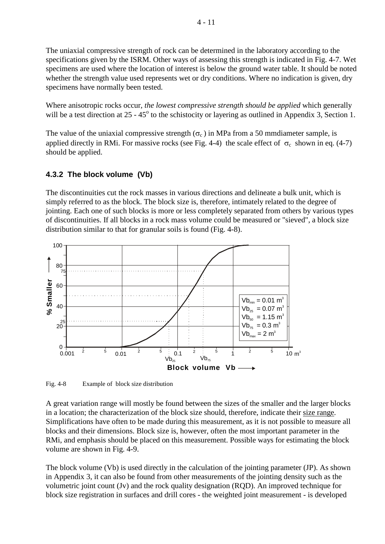The uniaxial compressive strength of rock can be determined in the laboratory according to the specifications given by the ISRM. Other ways of assessing this strength is indicated in Fig. 4-7. Wet specimens are used where the location of interest is below the ground water table. It should be noted whether the strength value used represents wet or dry conditions. Where no indication is given, dry specimens have normally been tested.

Where anisotropic rocks occur, *the lowest compressive strength should be applied* which generally will be a test direction at  $25 - 45^{\circ}$  to the schistocity or layering as outlined in Appendix 3, Section 1.

The value of the uniaxial compressive strength ( $\sigma_c$ ) in MPa from a 50 mmdiameter sample, is applied directly in RMi. For massive rocks (see Fig. 4-4) the scale effect of  $\sigma_c$  shown in eq. (4-7) should be applied.

# **4.3.2 The block volume (Vb)**

The discontinuities cut the rock masses in various directions and delineate a bulk unit, which is simply referred to as the block. The block size is, therefore, intimately related to the degree of jointing. Each one of such blocks is more or less completely separated from others by various types of discontinuities. If all blocks in a rock mass volume could be measured or "sieved", a block size distribution similar to that for granular soils is found (Fig. 4-8).



Fig. 4-8 Example of block size distribution

A great variation range will mostly be found between the sizes of the smaller and the larger blocks in a location; the characterization of the block size should, therefore, indicate their size range. Simplifications have often to be made during this measurement, as it is not possible to measure all blocks and their dimensions. Block size is, however, often the most important parameter in the RMi, and emphasis should be placed on this measurement. Possible ways for estimating the block volume are shown in Fig. 4-9.

The block volume (Vb) is used directly in the calculation of the jointing parameter (JP). As shown in Appendix 3, it can also be found from other measurements of the jointing density such as the volumetric joint count (Jv) and the rock quality designation (RQD). An improved technique for block size registration in surfaces and drill cores - the weighted joint measurement - is developed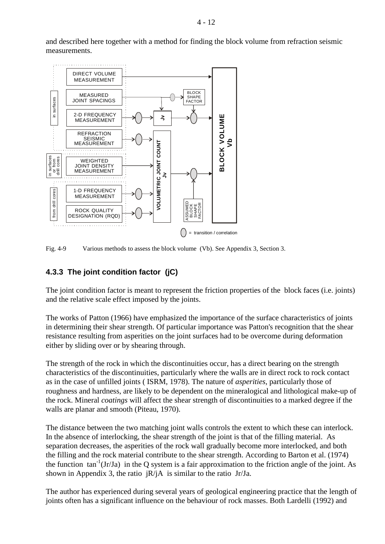and described here together with a method for finding the block volume from refraction seismic measurements.



Fig. 4-9 Various methods to assess the block volume (Vb). See Appendix 3, Section 3.

# **4.3.3 The joint condition factor (jC)**

The joint condition factor is meant to represent the friction properties of the block faces (i.e. joints) and the relative scale effect imposed by the joints.

The works of Patton (1966) have emphasized the importance of the surface characteristics of joints in determining their shear strength. Of particular importance was Patton's recognition that the shear resistance resulting from asperities on the joint surfaces had to be overcome during deformation either by sliding over or by shearing through.

The strength of the rock in which the discontinuities occur, has a direct bearing on the strength characteristics of the discontinuities, particularly where the walls are in direct rock to rock contact as in the case of unfilled joints ( ISRM, 1978). The nature of *asperities*, particularly those of roughness and hardness, are likely to be dependent on the mineralogical and lithological make-up of the rock. Mineral *coatings* will affect the shear strength of discontinuities to a marked degree if the walls are planar and smooth (Piteau, 1970).

The distance between the two matching joint walls controls the extent to which these can interlock. In the absence of interlocking, the shear strength of the joint is that of the filling material. As separation decreases, the asperities of the rock wall gradually become more interlocked, and both the filling and the rock material contribute to the shear strength. According to Barton et al. (1974) the function  $tan^{-1}(Jr/Ja)$  in the Q system is a fair approximation to the friction angle of the joint. As shown in Appendix 3, the ratio jR/jA is similar to the ratio Jr/Ja.

The author has experienced during several years of geological engineering practice that the length of joints often has a significant influence on the behaviour of rock masses. Both Lardelli (1992) and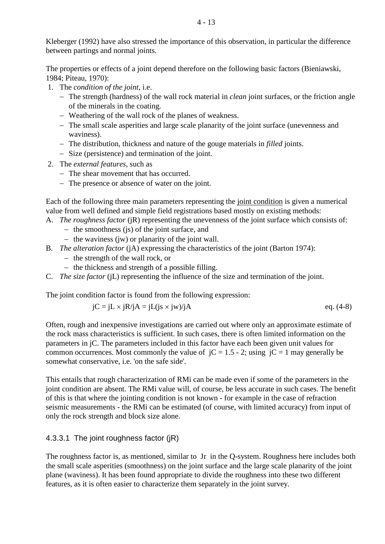Kleberger (1992) have also stressed the importance of this observation, in particular the difference between partings and normal joints.

The properties or effects of a joint depend therefore on the following basic factors (Bieniawski, 1984; Piteau, 1970):

- 1. The *condition of the joint*, i.e.
	- − The strength (hardness) of the wall rock material in *clean* joint surfaces, or the friction angle of the minerals in the coating.
	- − Weathering of the wall rock of the planes of weakness.
	- − The small scale asperities and large scale planarity of the joint surface (unevenness and waviness).
	- − The distribution, thickness and nature of the gouge materials in *filled* joints.
	- − Size (persistence) and termination of the joint.
- 2. The *external features*, such as
	- − The shear movement that has occurred.
	- − The presence or absence of water on the joint.

Each of the following three main parameters representing the joint condition is given a numerical value from well defined and simple field registrations based mostly on existing methods:

- A. *The roughness factor* (jR) representing the unevenness of the joint surface which consists of:
	- − the smoothness (js) of the joint surface, and
	- − the waviness (jw) or planarity of the joint wall.
- B. *The alteration factor* (jA) expressing the characteristics of the joint (Barton 1974):
	- − the strength of the wall rock, or
	- − the thickness and strength of a possible filling.
- C. *The size factor* (jL) representing the influence of the size and termination of the joint.

The joint condition factor is found from the following expression:

$$
jC = jL \times jR/jA = jL(is \times jw)/jA
$$
eq. (4-8)

Often, rough and inexpensive investigations are carried out where only an approximate estimate of the rock mass characteristics is sufficient. In such cases, there is often limited information on the parameters in jC. The parameters included in this factor have each been given unit values for common occurrences. Most commonly the value of  $iC = 1.5 - 2$ ; using  $iC = 1$  may generally be somewhat conservative, i.e. 'on the safe side'.

This entails that rough characterization of RMi can be made even if some of the parameters in the joint condition are absent. The RMi value will, of course, be less accurate in such cases. The benefit of this is that where the jointing condition is not known - for example in the case of refraction seismic measurements - the RMi can be estimated (of course, with limited accuracy) from input of only the rock strength and block size alone.

### 4.3.3.1 The joint roughness factor (jR)

The roughness factor is, as mentioned, similar to Jr in the Q-system. Roughness here includes both the small scale asperities (smoothness) on the joint surface and the large scale planarity of the joint plane (waviness). It has been found appropriate to divide the roughness into these two different features, as it is often easier to characterize them separately in the joint survey.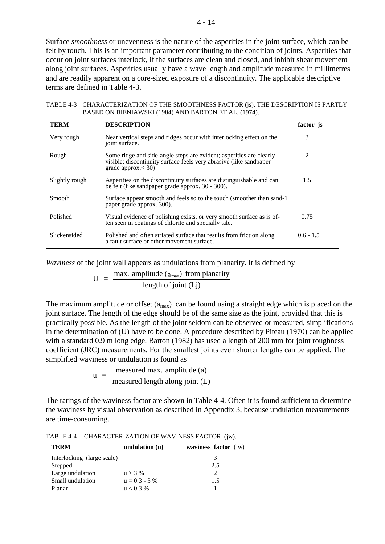Surface *smoothness* or unevenness is the nature of the asperities in the joint surface, which can be felt by touch. This is an important parameter contributing to the condition of joints. Asperities that occur on joint surfaces interlock, if the surfaces are clean and closed, and inhibit shear movement along joint surfaces. Asperities usually have a wave length and amplitude measured in millimetres and are readily apparent on a core-sized exposure of a discontinuity. The applicable descriptive terms are defined in Table 4-3.

TABLE 4-3 CHARACTERIZATION OF THE SMOOTHNESS FACTOR (js). THE DESCRIPTION IS PARTLY BASED ON BIENIAWSKI (1984) AND BARTON ET AL. (1974).

| <b>TERM</b>    | <b>DESCRIPTION</b>                                                                                                                                                 | factor js   |
|----------------|--------------------------------------------------------------------------------------------------------------------------------------------------------------------|-------------|
| Very rough     | Near vertical steps and ridges occur with interlocking effect on the<br>joint surface.                                                                             | 3           |
| Rough          | Some ridge and side-angle steps are evident; asperities are clearly<br>visible; discontinuity surface feels very abrasive (like sandpaper<br>grade approx. $<$ 30) | 2           |
| Slightly rough | Asperities on the discontinuity surfaces are distinguishable and can<br>be felt (like sandpaper grade approx. 30 - 300).                                           | 1.5         |
| Smooth         | Surface appear smooth and feels so to the touch (smoother than sand-1)<br>paper grade approx. 300).                                                                |             |
| Polished       | Visual evidence of polishing exists, or very smooth surface as is of-<br>ten seen in coatings of chlorite and specially talc.                                      | 0.75        |
| Slickensided   | Polished and often striated surface that results from friction along<br>a fault surface or other movement surface.                                                 | $0.6 - 1.5$ |

*Waviness* of the joint wall appears as undulations from planarity. It is defined by

$$
U = \frac{\text{max. amplitude } (a_{\text{max}}) \text{ from planarity}}{\text{length of joint } (Lj)}
$$

The maximum amplitude or offset  $(a<sub>max</sub>)$  can be found using a straight edge which is placed on the joint surface. The length of the edge should be of the same size as the joint, provided that this is practically possible. As the length of the joint seldom can be observed or measured, simplifications in the determination of (U) have to be done. A procedure described by Piteau (1970) can be applied with a standard 0.9 m long edge. Barton (1982) has used a length of 200 mm for joint roughness coefficient (JRC) measurements. For the smallest joints even shorter lengths can be applied. The simplified waviness or undulation is found as

$$
u = \frac{\text{measured max. amplitude (a)}}{\text{measured length along joint (L)}}
$$

The ratings of the waviness factor are shown in Table 4-4. Often it is found sufficient to determine the waviness by visual observation as described in Appendix 3, because undulation measurements are time-consuming.

TABLE 4-4 CHARACTERIZATION OF WAVINESS FACTOR (jw).

| <b>TERM</b>                | undulation $(u)$ | waviness factor $(iw)$ |
|----------------------------|------------------|------------------------|
| Interlocking (large scale) |                  |                        |
| Stepped                    |                  | 2.5                    |
| Large undulation           | $u > 3\%$        |                        |
| Small undulation           | $u = 0.3 - 3\%$  | 1.5                    |
| Planar                     | $u < 0.3\%$      |                        |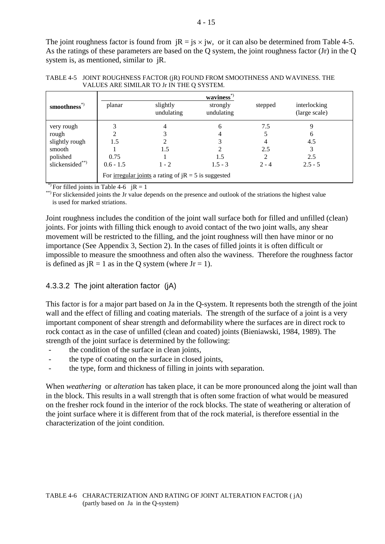The joint roughness factor is found from  $iR = js \times jw$ , or it can also be determined from Table 4-5. As the ratings of these parameters are based on the Q system, the joint roughness factor (Jr) in the Q system is, as mentioned, similar to jR.

|                          |             |                                                               | $\mathbf{waviness}^*$  |         |                               |
|--------------------------|-------------|---------------------------------------------------------------|------------------------|---------|-------------------------------|
| smoothness <sup>*)</sup> | planar      | slightly<br>undulating                                        | strongly<br>undulating | stepped | interlocking<br>(large scale) |
| very rough               |             |                                                               | 6                      | 7.5     |                               |
| rough                    |             |                                                               |                        |         | 6                             |
| slightly rough           | 1.5         |                                                               |                        |         | 4.5                           |
| smooth                   |             | 1.5                                                           |                        | 2.5     |                               |
| polished                 | 0.75        |                                                               | 1.5                    |         | 2.5                           |
| slickensided**)          | $0.6 - 1.5$ | $1 - 2$                                                       | $1.5 - 3$              | $2 - 4$ | $2.5 - 5$                     |
|                          |             | For <u>irregular joints</u> a rating of $jR = 5$ is suggested |                        |         |                               |

TABLE 4-5 JOINT ROUGHNESS FACTOR (jR) FOUND FROM SMOOTHNESS AND WAVINESS. THE VALUES ARE SIMILAR TO Jr IN THE Q SYSTEM.

\*) For filled joints in Table 4-6  $iR = 1$ 

\*\*) For slickensided joints the Jr value depends on the presence and outlook of the striations the highest value is used for marked striations.

Joint roughness includes the condition of the joint wall surface both for filled and unfilled (clean) joints. For joints with filling thick enough to avoid contact of the two joint walls, any shear movement will be restricted to the filling, and the joint roughness will then have minor or no importance (See Appendix 3, Section 2). In the cases of filled joints it is often difficult or impossible to measure the smoothness and often also the waviness. Therefore the roughness factor is defined as  $iR = 1$  as in the Q system (where  $Jr = 1$ ).

#### 4.3.3.2 The joint alteration factor (jA)

This factor is for a major part based on Ja in the Q-system. It represents both the strength of the joint wall and the effect of filling and coating materials. The strength of the surface of a joint is a very important component of shear strength and deformability where the surfaces are in direct rock to rock contact as in the case of unfilled (clean and coated) joints (Bieniawski, 1984, 1989). The strength of the joint surface is determined by the following:

- the condition of the surface in clean joints,
- the type of coating on the surface in closed joints,
- the type, form and thickness of filling in joints with separation.

When *weathering* or *alteration* has taken place, it can be more pronounced along the joint wall than in the block. This results in a wall strength that is often some fraction of what would be measured on the fresher rock found in the interior of the rock blocks. The state of weathering or alteration of the joint surface where it is different from that of the rock material, is therefore essential in the characterization of the joint condition.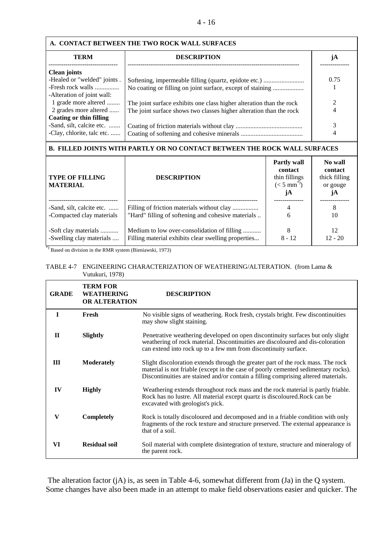| A. CONTACT BETWEEN THE TWO ROCK WALL SURFACES |                                                                      |      |  |  |  |
|-----------------------------------------------|----------------------------------------------------------------------|------|--|--|--|
| <b>TERM</b>                                   | <b>DESCRIPTION</b>                                                   | jА   |  |  |  |
| <b>Clean joints</b>                           |                                                                      |      |  |  |  |
| -Healed or "welded" joints.                   | Softening, impermeable filling (quartz, epidote etc.)                | 0.75 |  |  |  |
| -Fresh rock walls                             | No coating or filling on joint surface, except of staining           |      |  |  |  |
| -Alteration of joint wall:                    |                                                                      |      |  |  |  |
| 1 grade more altered                          | The joint surface exhibits one class higher alteration than the rock |      |  |  |  |
| 2 grades more altered                         | The joint surface shows two classes higher alteration than the rock  |      |  |  |  |
| Coating or thin filling                       |                                                                      |      |  |  |  |
| -Sand, silt, calcite etc.                     |                                                                      |      |  |  |  |
| -Clay, chlorite, talc etc.                    |                                                                      |      |  |  |  |
|                                               |                                                                      |      |  |  |  |

#### **B. FILLED JOINTS WITH PARTLY OR NO CONTACT BETWEEN THE ROCK WALL SURFACES**

| <b>TYPE OF FILLING</b><br><b>MATERIAL</b> | <b>DESCRIPTION</b>                                  | <b>Partly wall</b><br>contact<br>thin fillings<br>$(< 5 \text{ mm}^*)$<br>jA | No wall<br>contact<br>thick filling<br>or gouge<br>jА |
|-------------------------------------------|-----------------------------------------------------|------------------------------------------------------------------------------|-------------------------------------------------------|
| -Sand, silt, calcite etc.                 | Filling of friction materials without clay          | 4                                                                            | 8                                                     |
| -Compacted clay materials                 | "Hard" filling of softening and cohesive materials  | 6                                                                            | 10                                                    |
| -Soft clay materials                      | Medium to low over-consolidation of filling         | 8                                                                            | 12                                                    |
| -Swelling clay materials                  | Filling material exhibits clear swelling properties | $8 - 12$                                                                     | $12 - 20$                                             |

\*) Based on division in the RMR system (Bieniawski, 1973)

#### TABLE 4-7 ENGINEERING CHARACTERIZATION OF WEATHERING/ALTERATION. (from Lama & Vutukuri, 1978)

| <b>GRADE</b> | <b>TERM FOR</b><br><b>WEATHERING</b><br><b>OR ALTERATION</b> | <b>DESCRIPTION</b>                                                                                                                                                                                                                                           |
|--------------|--------------------------------------------------------------|--------------------------------------------------------------------------------------------------------------------------------------------------------------------------------------------------------------------------------------------------------------|
| $\mathbf I$  | Fresh                                                        | No visible signs of weathering. Rock fresh, crystals bright. Few discontinuities<br>may show slight staining.                                                                                                                                                |
| $\mathbf{H}$ | Slightly                                                     | Penetrative weathering developed on open discontinuity surfaces but only slight<br>weathering of rock material. Discontinuities are discoloured and dis-coloration<br>can extend into rock up to a few mm from discontinuity surface.                        |
| III          | <b>Moderately</b>                                            | Slight discoloration extends through the greater part of the rock mass. The rock<br>material is not friable (except in the case of poorly cemented sedimentary rocks).<br>Discontinuities are stained and/or contain a filling comprising altered materials. |
| IV           | <b>Highly</b>                                                | Weathering extends throughout rock mass and the rock material is partly friable.<br>Rock has no lustre. All material except quartz is discoloured. Rock can be<br>excavated with geologist's pick.                                                           |
| V            | Completely                                                   | Rock is totally discoloured and decomposed and in a friable condition with only<br>fragments of the rock texture and structure preserved. The external appearance is<br>that of a soil.                                                                      |
| VI           | Residual soil                                                | Soil material with complete disintegration of texture, structure and mineralogy of<br>the parent rock.                                                                                                                                                       |

The alteration factor (jA) is, as seen in Table 4-6, somewhat different from (Ja) in the Q system. Some changes have also been made in an attempt to make field observations easier and quicker. The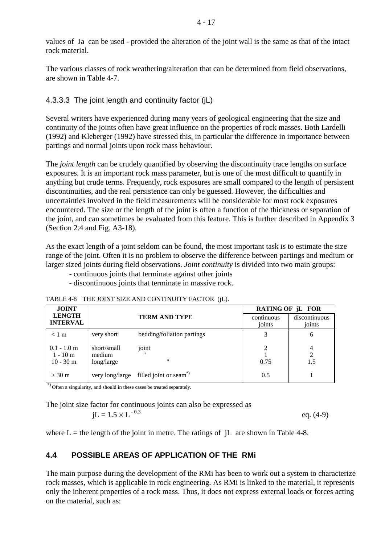values of Ja can be used - provided the alteration of the joint wall is the same as that of the intact rock material.

The various classes of rock weathering/alteration that can be determined from field observations, are shown in Table 4-7.

#### 4.3.3.3 The joint length and continuity factor (jL)

Several writers have experienced during many years of geological engineering that the size and continuity of the joints often have great influence on the properties of rock masses. Both Lardelli (1992) and Kleberger (1992) have stressed this, in particular the difference in importance between partings and normal joints upon rock mass behaviour.

The *joint length* can be crudely quantified by observing the discontinuity trace lengths on surface exposures. It is an important rock mass parameter, but is one of the most difficult to quantify in anything but crude terms. Frequently, rock exposures are small compared to the length of persistent discontinuities, and the real persistence can only be guessed. However, the difficulties and uncertainties involved in the field measurements will be considerable for most rock exposures encountered. The size or the length of the joint is often a function of the thickness or separation of the joint, and can sometimes be evaluated from this feature. This is further described in Appendix 3 (Section 2.4 and Fig. A3-18).

As the exact length of a joint seldom can be found, the most important task is to estimate the size range of the joint. Often it is no problem to observe the difference between partings and medium or larger sized joints during field observations. *Joint continuity* is divided into two main groups:

- continuous joints that terminate against other joints
- discontinuous joints that terminate in massive rock.

| <b>JOINT</b>                              |                                     |                                                   | RATING OF jL FOR       |                            |  |  |
|-------------------------------------------|-------------------------------------|---------------------------------------------------|------------------------|----------------------------|--|--|
| <b>LENGTH</b><br><b>INTERVAL</b>          |                                     | <b>TERM AND TYPE</b>                              | continuous<br>joints   | discontinuous<br>joints    |  |  |
| $< 1 \text{ m}$                           | very short                          | bedding/foliation partings                        |                        | 6                          |  |  |
| $0.1 - 1.0$ m<br>$1 - 10m$<br>$10 - 30$ m | short/small<br>medium<br>long/large | joint<br>$^{\prime\prime}$                        | $\mathfrak{D}$<br>0.75 | 4<br>$\overline{2}$<br>1.5 |  |  |
| $>$ 30 m                                  |                                     | very long/large filled joint or seam <sup>*</sup> | 0.5                    |                            |  |  |

TABLE 4-8 THE JOINT SIZE AND CONTINUITY FACTOR (jL).

\*) Often a singularity, and should in these cases be treated separately.

The joint size factor for continuous joints can also be expressed as  $jL = 1.5 \times L^{-0.3}$  eq. (4-9)

where  $L =$  the length of the joint in metre. The ratings of  $\,iL$  are shown in Table 4-8.

### **4.4 POSSIBLE AREAS OF APPLICATION OF THE RMi**

The main purpose during the development of the RMi has been to work out a system to characterize rock masses, which is applicable in rock engineering. As RMi is linked to the material, it represents only the inherent properties of a rock mass. Thus, it does not express external loads or forces acting on the material, such as: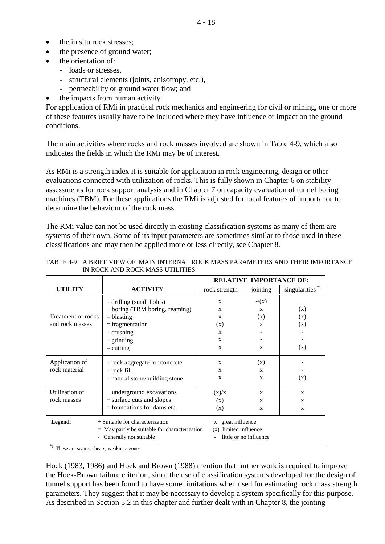- the in situ rock stresses;
- the presence of ground water;
- the orientation of:
	- loads or stresses,
	- structural elements (joints, anisotropy, etc.),
	- permeability or ground water flow; and
	- the impacts from human activity.

For application of RMi in practical rock mechanics and engineering for civil or mining, one or more of these features usually have to be included where they have influence or impact on the ground conditions.

The main activities where rocks and rock masses involved are shown in Table 4-9, which also indicates the fields in which the RMi may be of interest.

As RMi is a strength index it is suitable for application in rock engineering, design or other evaluations connected with utilization of rocks. This is fully shown in Chapter 6 on stability assessments for rock support analysis and in Chapter 7 on capacity evaluation of tunnel boring machines (TBM). For these applications the RMi is adjusted for local features of importance to determine the behaviour of the rock mass.

The RMi value can not be used directly in existing classification systems as many of them are systems of their own. Some of its input parameters are sometimes similar to those used in these classifications and may then be applied more or less directly, see Chapter 8.

|                                                                                                                                                                                                 |                                | <b>RELATIVE IMPORTANCE OF:</b> |                |                            |  |  |
|-------------------------------------------------------------------------------------------------------------------------------------------------------------------------------------------------|--------------------------------|--------------------------------|----------------|----------------------------|--|--|
| <b>UTILITY</b>                                                                                                                                                                                  | <b>ACTIVITY</b>                | rock strength                  | jointing       | singularities <sup>*</sup> |  |  |
|                                                                                                                                                                                                 | drilling (small holes)         | $\mathbf{x}$                   | $-\frac{1}{x}$ |                            |  |  |
|                                                                                                                                                                                                 | + boring (TBM boring, reaming) | X                              | $\mathbf{x}$   | (x)                        |  |  |
| Treatment of rocks                                                                                                                                                                              | $=$ blasting                   | X                              | (x)            | (x)                        |  |  |
| and rock masses                                                                                                                                                                                 | $=$ fragmentation              | (x)                            | $\mathbf{x}$   | (x)                        |  |  |
|                                                                                                                                                                                                 | $\cdot$ crushing               | X                              |                |                            |  |  |
|                                                                                                                                                                                                 | $\cdot$ grinding               | X                              |                |                            |  |  |
|                                                                                                                                                                                                 | $=$ cutting                    | X                              | X              | (x)                        |  |  |
| Application of                                                                                                                                                                                  | · rock aggregate for concrete  | X                              | (x)            |                            |  |  |
| rock material                                                                                                                                                                                   | ∙ rock fill                    | X                              | $\mathbf{x}$   |                            |  |  |
|                                                                                                                                                                                                 | · natural stone/building stone | X                              | $\mathbf{x}$   | (x)                        |  |  |
| Utilization of                                                                                                                                                                                  | + underground excavations      | (x)/x                          | $\mathbf{x}$   | X                          |  |  |
| rock masses                                                                                                                                                                                     | + surface cuts and slopes      | (x)                            | X              | X                          |  |  |
|                                                                                                                                                                                                 | $=$ foundations for dams etc.  | (x)                            | X              | $\mathbf{x}$               |  |  |
| + Suitable for characterization<br>x great influence<br>Legend:<br>(x) limited influence<br>$=$ May partly be suitable for characterization<br>little or no influence<br>Generally not suitable |                                |                                |                |                            |  |  |

TABLE 4-9 A BRIEF VIEW OF MAIN INTERNAL ROCK MASS PARAMETERS AND THEIR IMPORTANCE IN ROCK AND ROCK MASS UTILITIES.

\*) These are seams, shears, weakness zones

Hoek (1983, 1986) and Hoek and Brown (1988) mention that further work is required to improve the Hoek-Brown failure criterion, since the use of classification systems developed for the design of tunnel support has been found to have some limitations when used for estimating rock mass strength parameters. They suggest that it may be necessary to develop a system specifically for this purpose. As described in Section 5.2 in this chapter and further dealt with in Chapter 8, the jointing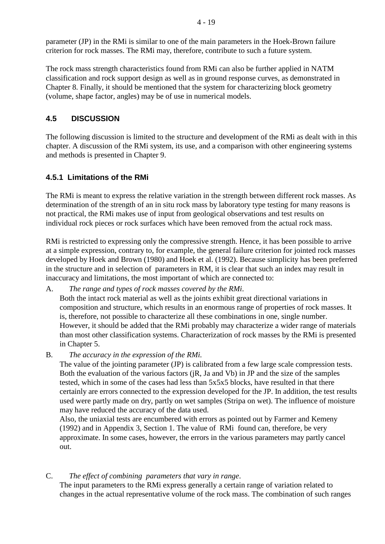parameter (JP) in the RMi is similar to one of the main parameters in the Hoek-Brown failure criterion for rock masses. The RMi may, therefore, contribute to such a future system.

The rock mass strength characteristics found from RMi can also be further applied in NATM classification and rock support design as well as in ground response curves, as demonstrated in Chapter 8. Finally, it should be mentioned that the system for characterizing block geometry (volume, shape factor, angles) may be of use in numerical models.

# **4.5 DISCUSSION**

The following discussion is limited to the structure and development of the RMi as dealt with in this chapter. A discussion of the RMi system, its use, and a comparison with other engineering systems and methods is presented in Chapter 9.

# **4.5.1 Limitations of the RMi**

The RMi is meant to express the relative variation in the strength between different rock masses. As determination of the strength of an in situ rock mass by laboratory type testing for many reasons is not practical, the RMi makes use of input from geological observations and test results on individual rock pieces or rock surfaces which have been removed from the actual rock mass.

RMi is restricted to expressing only the compressive strength. Hence, it has been possible to arrive at a simple expression, contrary to, for example, the general failure criterion for jointed rock masses developed by Hoek and Brown (1980) and Hoek et al. (1992). Because simplicity has been preferred in the structure and in selection of parameters in RM, it is clear that such an index may result in inaccuracy and limitations, the most important of which are connected to:

- A. *The range and types of rock masses covered by the RMi*. Both the intact rock material as well as the joints exhibit great directional variations in composition and structure, which results in an enormous range of properties of rock masses. It is, therefore, not possible to characterize all these combinations in one, single number. However, it should be added that the RMi probably may characterize a wider range of materials than most other classification systems. Characterization of rock masses by the RMi is presented in Chapter 5.
- B. *The accuracy in the expression of the RMi.*

The value of the jointing parameter (JP) is calibrated from a few large scale compression tests. Both the evaluation of the various factors (jR, Ja and Vb) in JP and the size of the samples tested, which in some of the cases had less than 5x5x5 blocks, have resulted in that there certainly are errors connected to the expression developed for the JP. In addition, the test results used were partly made on dry, partly on wet samples (Stripa on wet). The influence of moisture may have reduced the accuracy of the data used.

Also, the uniaxial tests are encumbered with errors as pointed out by Farmer and Kemeny (1992) and in Appendix 3, Section 1. The value of RMi found can, therefore, be very approximate. In some cases, however, the errors in the various parameters may partly cancel out.

C. *The effect of combining parameters that vary in range*. The input parameters to the RMi express generally a certain range of variation related to changes in the actual representative volume of the rock mass. The combination of such ranges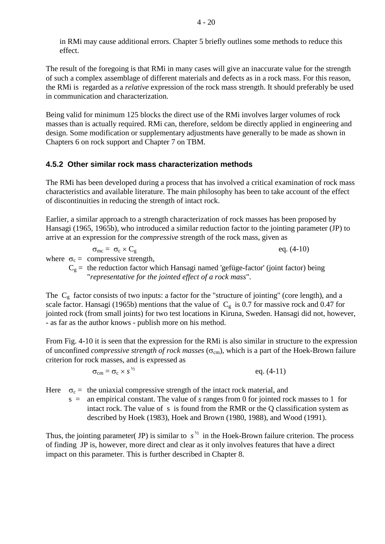in RMi may cause additional errors. Chapter 5 briefly outlines some methods to reduce this effect.

The result of the foregoing is that RMi in many cases will give an inaccurate value for the strength of such a complex assemblage of different materials and defects as in a rock mass. For this reason, the RMi is regarded as a *relative* expression of the rock mass strength. It should preferably be used in communication and characterization.

Being valid for minimum 125 blocks the direct use of the RMi involves larger volumes of rock masses than is actually required. RMi can, therefore, seldom be directly applied in engineering and design. Some modification or supplementary adjustments have generally to be made as shown in Chapters 6 on rock support and Chapter 7 on TBM.

#### **4.5.2 Other similar rock mass characterization methods**

The RMi has been developed during a process that has involved a critical examination of rock mass characteristics and available literature. The main philosophy has been to take account of the effect of discontinuities in reducing the strength of intact rock.

Earlier, a similar approach to a strength characterization of rock masses has been proposed by Hansagi (1965, 1965b), who introduced a similar reduction factor to the jointing parameter (JP) to arrive at an expression for the *compressive* strength of the rock mass, given as

$$
\sigma_{\rm mc} = \sigma_{\rm c} \times C_{\rm g} \qquad \qquad \text{eq. (4-10)}
$$

where  $\sigma_c$  = compressive strength,

 $C_g$  = the reduction factor which Hansagi named 'gefüge-factor' (joint factor) being "*representative for the jointed effect of a rock mass*".

The  $C_g$  factor consists of two inputs: a factor for the "structure of jointing" (core length), and a scale factor. Hansagi (1965b) mentions that the value of  $C_g$  is 0.7 for massive rock and 0.47 for jointed rock (from small joints) for two test locations in Kiruna, Sweden. Hansagi did not, however, - as far as the author knows - publish more on his method.

From Fig. 4-10 it is seen that the expression for the RMi is also similar in structure to the expression of unconfined *compressive strength of rock masses* (σ<sub>cm</sub>), which is a part of the Hoek-Brown failure criterion for rock masses, and is expressed as

> $\sigma_{\rm cm} = \sigma_{\rm c} \times s^{1/2}$ eq.  $(4-11)$

Here  $\sigma_c$  = the uniaxial compressive strength of the intact rock material, and

s = an empirical constant. The value of *s* ranges from 0 for jointed rock masses to 1 for intact rock. The value of s is found from the RMR or the Q classification system as described by Hoek (1983), Hoek and Brown (1980, 1988), and Wood (1991).

Thus, the jointing parameter( JP) is similar to  $s^{\frac{1}{2}}$  in the Hoek-Brown failure criterion. The process of finding JP is, however, more direct and clear as it only involves features that have a direct impact on this parameter. This is further described in Chapter 8.